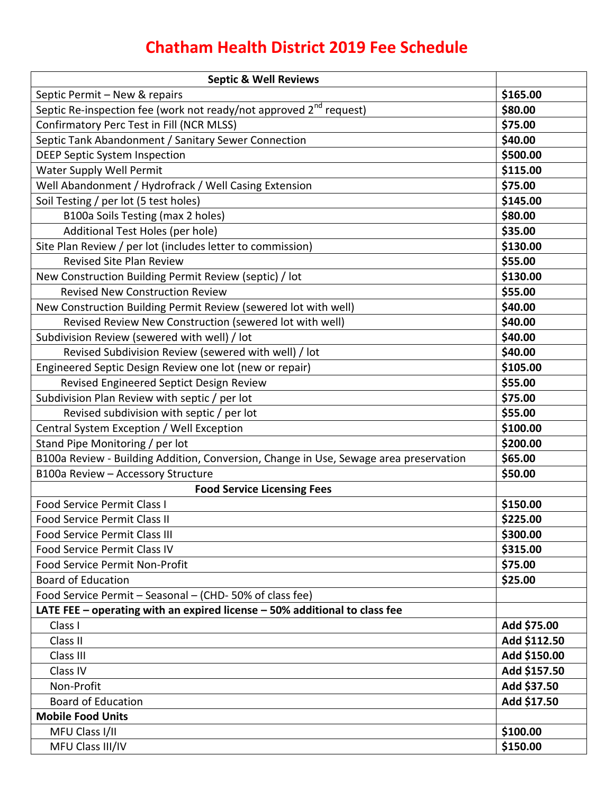## **Chatham Health District 2019 Fee Schedule**

| <b>Septic &amp; Well Reviews</b>                                                      |              |
|---------------------------------------------------------------------------------------|--------------|
| Septic Permit - New & repairs                                                         | \$165.00     |
| Septic Re-inspection fee (work not ready/not approved 2 <sup>nd</sup> request)        | \$80.00      |
| Confirmatory Perc Test in Fill (NCR MLSS)                                             | \$75.00      |
| Septic Tank Abandonment / Sanitary Sewer Connection                                   | \$40.00      |
| <b>DEEP Septic System Inspection</b>                                                  | \$500.00     |
| Water Supply Well Permit                                                              | \$115.00     |
| Well Abandonment / Hydrofrack / Well Casing Extension                                 | \$75.00      |
| Soil Testing / per lot (5 test holes)                                                 | \$145.00     |
| B100a Soils Testing (max 2 holes)                                                     | \$80.00      |
| Additional Test Holes (per hole)                                                      | \$35.00      |
| Site Plan Review / per lot (includes letter to commission)                            | \$130.00     |
| Revised Site Plan Review                                                              | \$55.00      |
| New Construction Building Permit Review (septic) / lot                                | \$130.00     |
| <b>Revised New Construction Review</b>                                                | \$55.00      |
| New Construction Building Permit Review (sewered lot with well)                       | \$40.00      |
| Revised Review New Construction (sewered lot with well)                               | \$40.00      |
| Subdivision Review (sewered with well) / lot                                          | \$40.00      |
| Revised Subdivision Review (sewered with well) / lot                                  | \$40.00      |
| Engineered Septic Design Review one lot (new or repair)                               | \$105.00     |
| Revised Engineered Septict Design Review                                              | \$55.00      |
| Subdivision Plan Review with septic / per lot                                         | \$75.00      |
| Revised subdivision with septic / per lot                                             | \$55.00      |
| Central System Exception / Well Exception                                             | \$100.00     |
| Stand Pipe Monitoring / per lot                                                       | \$200.00     |
| B100a Review - Building Addition, Conversion, Change in Use, Sewage area preservation | \$65.00      |
| B100a Review - Accessory Structure                                                    | \$50.00      |
| <b>Food Service Licensing Fees</b>                                                    |              |
| <b>Food Service Permit Class I</b>                                                    | \$150.00     |
| <b>Food Service Permit Class II</b>                                                   | \$225.00     |
| <b>Food Service Permit Class III</b>                                                  | \$300.00     |
| <b>Food Service Permit Class IV</b>                                                   | \$315.00     |
| <b>Food Service Permit Non-Profit</b>                                                 | \$75.00      |
| <b>Board of Education</b>                                                             | \$25.00      |
| Food Service Permit - Seasonal - (CHD-50% of class fee)                               |              |
| LATE FEE $-$ operating with an expired license $-50\%$ additional to class fee        |              |
| Class I                                                                               | Add \$75.00  |
| Class II                                                                              | Add \$112.50 |
| Class III                                                                             | Add \$150.00 |
| Class IV                                                                              | Add \$157.50 |
| Non-Profit                                                                            | Add \$37.50  |
| <b>Board of Education</b>                                                             | Add \$17.50  |
| <b>Mobile Food Units</b>                                                              |              |
| MFU Class I/II                                                                        | \$100.00     |
| MFU Class III/IV                                                                      | \$150.00     |